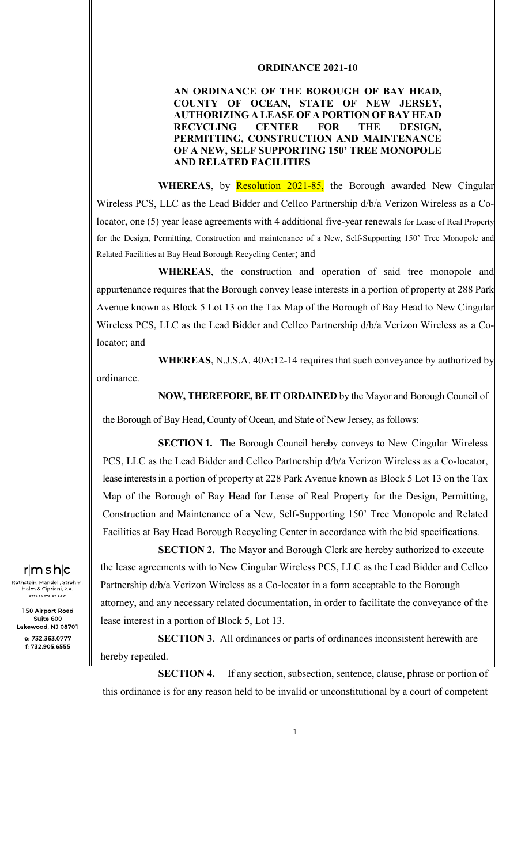## **ORDINANCE 2021-10**

## **AN ORDINANCE OF THE BOROUGH OF BAY HEAD, COUNTY OF OCEAN, STATE OF NEW JERSEY, AUTHORIZING A LEASE OF A PORTION OF BAY HEAD RECYCLING CENTER FOR THE DESIGN, PERMITTING, CONSTRUCTION AND MAINTENANCE OF A NEW, SELF SUPPORTING 150' TREE MONOPOLE AND RELATED FACILITIES**

**WHEREAS**, by **Resolution 2021-85**, the Borough awarded New Cingular Wireless PCS, LLC as the Lead Bidder and Cellco Partnership d/b/a Verizon Wireless as a Colocator, one (5) year lease agreements with 4 additional five-year renewals for Lease of Real Property for the Design, Permitting, Construction and maintenance of a New, Self-Supporting 150' Tree Monopole and Related Facilities at Bay Head Borough Recycling Center; and

 **WHEREAS**, the construction and operation of said tree monopole and appurtenance requires that the Borough convey lease interests in a portion of property at 288 Park Avenue known as Block 5 Lot 13 on the Tax Map of the Borough of Bay Head to New Cingular Wireless PCS, LLC as the Lead Bidder and Cellco Partnership d/b/a Verizon Wireless as a Colocator; and

 **WHEREAS**, N.J.S.A. 40A:12-14 requires that such conveyance by authorized by

ordinance.

**NOW, THEREFORE, BE IT ORDAINED** by the Mayor and Borough Council of

the Borough of Bay Head, County of Ocean, and State of New Jersey, as follows:

**SECTION 1.** The Borough Council hereby conveys to New Cingular Wireless PCS, LLC as the Lead Bidder and Cellco Partnership d/b/a Verizon Wireless as a Co-locator, lease interests in a portion of property at 228 Park Avenue known as Block 5 Lot 13 on the Tax Map of the Borough of Bay Head for Lease of Real Property for the Design, Permitting, Construction and Maintenance of a New, Self-Supporting 150' Tree Monopole and Related Facilities at Bay Head Borough Recycling Center in accordance with the bid specifications.

**SECTION 2.** The Mayor and Borough Clerk are hereby authorized to execute the lease agreements with to New Cingular Wireless PCS, LLC as the Lead Bidder and Cellco Partnership d/b/a Verizon Wireless as a Co-locator in a form acceptable to the Borough attorney, and any necessary related documentation, in order to facilitate the conveyance of the lease interest in a portion of Block 5, Lot 13.

**SECTION 3.** All ordinances or parts of ordinances inconsistent herewith are hereby repealed.

**SECTION 4.** If any section, subsection, sentence, clause, phrase or portion of this ordinance is for any reason held to be invalid or unconstitutional by a court of competent

## $r|m|s|h|c$

Rothstein, Mandell, Strohm,<br>Halm & Cipriani, P.A. .<br>ATTORNEYS AT LAW

150 Airport Road Suite 600 Lakewood, NJ 08701 o: 732.363.0777 f: 732.905.6555